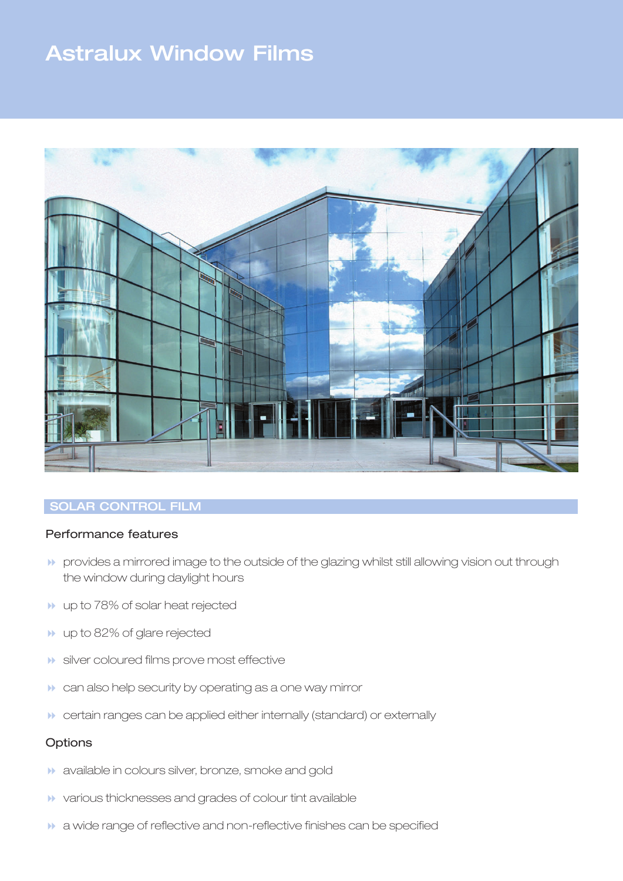# **Astralux Window Films**



# **SOLAR CONTROL FILM**

## Performance features

- **8 provides a mirrored image to the outside of the glazing whilst still allowing vision out through** the window during daylight hours
- **1** up to 78% of solar heat rejected
- **1** up to 82% of glare rejected
- $\blacktriangleright$  silver coloured films prove most effective
- **1** can also help security by operating as a one way mirror
- **8 certain ranges can be applied either internally (standard) or externally**

#### **Options**

- **1** available in colours silver, bronze, smoke and gold
- 8 various thicknesses and grades of colour tint available
- **1** a wide range of reflective and non-reflective finishes can be specified